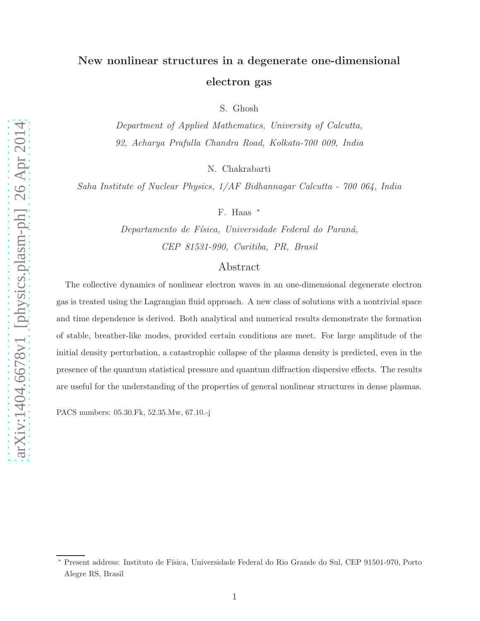## New nonlinear structures in a degenerate one-dimensional electron gas

S. Ghosh

Department of Applied Mathematics, University of Calcutta, 92, Acharya Prafulla Chandra Road, Kolkata-700 009, India

N. Chakrabarti

Saha Institute of Nuclear Physics, 1/AF Bidhannagar Calcutta - 700 064, India

F. Haas <sup>∗</sup>

Departamento de Física, Universidade Federal do Paraná, CEP 81531-990, Curitiba, PR, Brasil

## Abstract

The collective dynamics of nonlinear electron waves in an one-dimensional degenerate electron gas is treated using the Lagrangian fluid approach. A new class of solutions with a nontrivial space and time dependence is derived. Both analytical and numerical results demonstrate the formation of stable, breather-like modes, provided certain conditions are meet. For large amplitude of the initial density perturbation, a catastrophic collapse of the plasma density is predicted, even in the presence of the quantum statistical pressure and quantum diffraction dispersive effects. The results are useful for the understanding of the properties of general nonlinear structures in dense plasmas.

PACS numbers: 05.30.Fk, 52.35.Mw, 67.10.-j

Present address: Instituto de Física, Universidade Federal do Rio Grande do Sul, CEP 91501-970, Porto Alegre RS, Brasil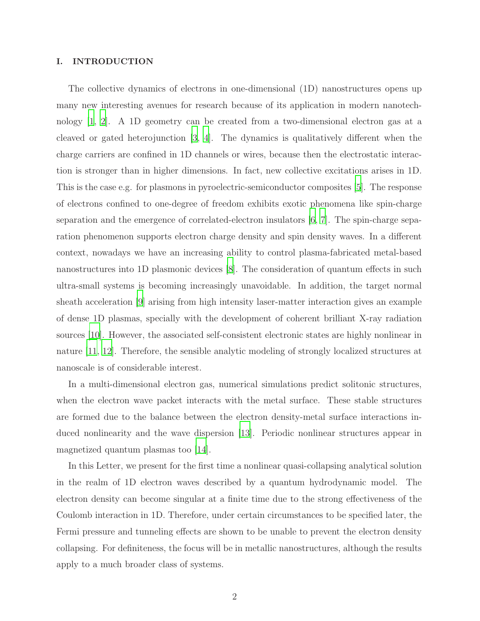## I. INTRODUCTION

The collective dynamics of electrons in one-dimensional (1D) nanostructures opens up many new interesting avenues for research because of its application in modern nanotechnology [\[1,](#page-9-0) [2\]](#page-9-1). A 1D geometry can be created from a two-dimensional electron gas at a cleaved or gated heterojunction [\[3,](#page-9-2) [4](#page-9-3)]. The dynamics is qualitatively different when the charge carriers are confined in 1D channels or wires, because then the electrostatic interaction is stronger than in higher dimensions. In fact, new collective excitations arises in 1D. This is the case e.g. for plasmons in pyroelectric-semiconductor composites [\[5\]](#page-9-4). The response of electrons confined to one-degree of freedom exhibits exotic phenomena like spin-charge separation and the emergence of correlated-electron insulators [\[6](#page-9-5), [7](#page-9-6)]. The spin-charge separation phenomenon supports electron charge density and spin density waves. In a different context, nowadays we have an increasing ability to control plasma-fabricated metal-based nanostructures into 1D plasmonic devices [\[8](#page-9-7)]. The consideration of quantum effects in such ultra-small systems is becoming increasingly unavoidable. In addition, the target normal sheath acceleration [\[9](#page-9-8)] arising from high intensity laser-matter interaction gives an example of dense 1D plasmas, specially with the development of coherent brilliant X-ray radiation sources [\[10\]](#page-9-9). However, the associated self-consistent electronic states are highly nonlinear in nature [\[11,](#page-9-10) [12\]](#page-10-0). Therefore, the sensible analytic modeling of strongly localized structures at nanoscale is of considerable interest.

In a multi-dimensional electron gas, numerical simulations predict solitonic structures, when the electron wave packet interacts with the metal surface. These stable structures are formed due to the balance between the electron density-metal surface interactions induced nonlinearity and the wave dispersion [\[13\]](#page-10-1). Periodic nonlinear structures appear in magnetized quantum plasmas too [\[14](#page-10-2)].

In this Letter, we present for the first time a nonlinear quasi-collapsing analytical solution in the realm of 1D electron waves described by a quantum hydrodynamic model. The electron density can become singular at a finite time due to the strong effectiveness of the Coulomb interaction in 1D. Therefore, under certain circumstances to be specified later, the Fermi pressure and tunneling effects are shown to be unable to prevent the electron density collapsing. For definiteness, the focus will be in metallic nanostructures, although the results apply to a much broader class of systems.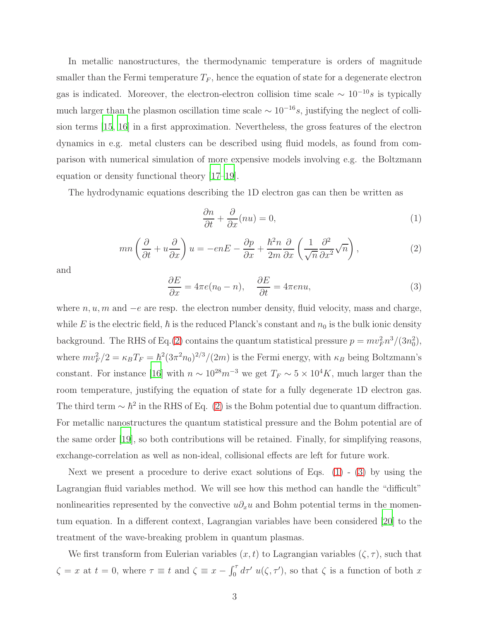In metallic nanostructures, the thermodynamic temperature is orders of magnitude smaller than the Fermi temperature  $T_F$ , hence the equation of state for a degenerate electron gas is indicated. Moreover, the electron-electron collision time scale  $\sim 10^{-10} s$  is typically much larger than the plasmon oscillation time scale  $\sim 10^{-16} s$ , justifying the neglect of collision terms [\[15,](#page-10-3) [16\]](#page-10-4) in a first approximation. Nevertheless, the gross features of the electron dynamics in e.g. metal clusters can be described using fluid models, as found from comparison with numerical simulation of more expensive models involving e.g. the Boltzmann equation or density functional theory [\[17](#page-10-5)[–19\]](#page-10-6).

The hydrodynamic equations describing the 1D electron gas can then be written as

<span id="page-2-1"></span>
$$
\frac{\partial n}{\partial t} + \frac{\partial}{\partial x}(nu) = 0,\tag{1}
$$

<span id="page-2-0"></span>
$$
mn\left(\frac{\partial}{\partial t} + u\frac{\partial}{\partial x}\right)u = -enE - \frac{\partial p}{\partial x} + \frac{\hbar^2 n}{2m}\frac{\partial}{\partial x}\left(\frac{1}{\sqrt{n}}\frac{\partial^2}{\partial x^2}\sqrt{n}\right),\tag{2}
$$

and

<span id="page-2-2"></span>
$$
\frac{\partial E}{\partial x} = 4\pi e(n_0 - n), \quad \frac{\partial E}{\partial t} = 4\pi e n u,
$$
\n(3)

where  $n, u, m$  and  $-e$  are resp. the electron number density, fluid velocity, mass and charge, while E is the electric field,  $\hbar$  is the reduced Planck's constant and  $n_0$  is the bulk ionic density background. The RHS of Eq.[\(2\)](#page-2-0) contains the quantum statistical pressure  $p = mv_F^2 n^3/(3n_0^2)$ , where  $mv_F^2/2 = \kappa_B T_F = \hbar^2 (3\pi^2 n_0)^{2/3} / (2m)$  is the Fermi energy, with  $\kappa_B$  being Boltzmann's constant. For instance [\[16](#page-10-4)] with  $n \sim 10^{28} m^{-3}$  we get  $T_F \sim 5 \times 10^4 K$ , much larger than the room temperature, justifying the equation of state for a fully degenerate 1D electron gas. The third term  $\sim \hbar^2$  in the RHS of Eq. [\(2\)](#page-2-0) is the Bohm potential due to quantum diffraction. For metallic nanostructures the quantum statistical pressure and the Bohm potential are of the same order [\[19\]](#page-10-6), so both contributions will be retained. Finally, for simplifying reasons, exchange-correlation as well as non-ideal, collisional effects are left for future work.

Next we present a procedure to derive exact solutions of Eqs.  $(1)$  -  $(3)$  by using the Lagrangian fluid variables method. We will see how this method can handle the "difficult" nonlinearities represented by the convective  $u\partial_x u$  and Bohm potential terms in the momentum equation. In a different context, Lagrangian variables have been considered [\[20\]](#page-10-7) to the treatment of the wave-breaking problem in quantum plasmas.

We first transform from Eulerian variables  $(x, t)$  to Lagrangian variables  $(\zeta, \tau)$ , such that  $\zeta = x$  at  $t = 0$ , where  $\tau \equiv t$  and  $\zeta \equiv x - \int_0^{\tau} d\tau' u(\zeta, \tau')$ , so that  $\zeta$  is a function of both x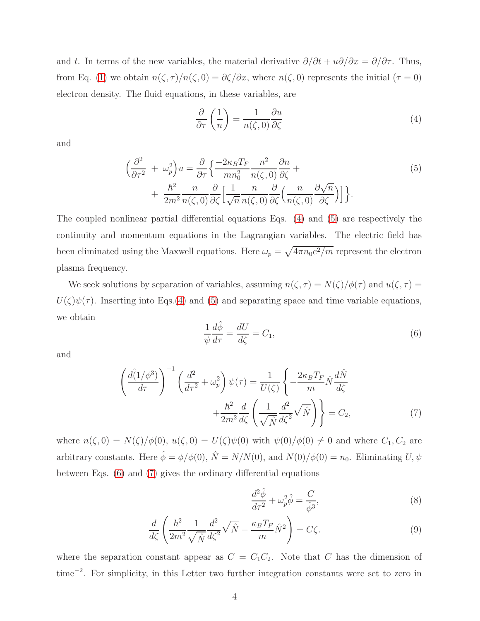and t. In terms of the new variables, the material derivative  $\partial/\partial t + u\partial/\partial x = \partial/\partial \tau$ . Thus, from Eq. [\(1\)](#page-2-1) we obtain  $n(\zeta, \tau)/n(\zeta, 0) = \partial \zeta/\partial x$ , where  $n(\zeta, 0)$  represents the initial  $(\tau = 0)$ electron density. The fluid equations, in these variables, are

<span id="page-3-0"></span>
$$
\frac{\partial}{\partial \tau} \left( \frac{1}{n} \right) = \frac{1}{n(\zeta, 0)} \frac{\partial u}{\partial \zeta}
$$
\n(4)

and

<span id="page-3-1"></span>
$$
\left(\frac{\partial^2}{\partial \tau^2} + \omega_p^2\right)u = \frac{\partial}{\partial \tau} \left\{ \frac{-2\kappa_B T_F}{mn_0^2} \frac{n^2}{n(\zeta, 0)} \frac{\partial n}{\partial \zeta} + \frac{\hbar^2}{2m^2} \frac{n}{n(\zeta, 0)} \frac{\partial}{\partial \zeta} \left[ \frac{1}{\sqrt{n}} \frac{n}{n(\zeta, 0)} \frac{\partial}{\partial \zeta} \left( \frac{n}{n(\zeta, 0)} \frac{\partial \sqrt{n}}{\partial \zeta} \right) \right] \right\}.
$$
\n(5)

The coupled nonlinear partial differential equations Eqs. [\(4\)](#page-3-0) and [\(5\)](#page-3-1) are respectively the continuity and momentum equations in the Lagrangian variables. The electric field has been eliminated using the Maxwell equations. Here  $\omega_p = \sqrt{4\pi n_0 e^2/m}$  represent the electron plasma frequency.

We seek solutions by separation of variables, assuming  $n(\zeta, \tau) = N(\zeta)/\phi(\tau)$  and  $u(\zeta, \tau) =$  $U(\zeta)\psi(\tau)$ . Inserting into Eqs.[\(4\)](#page-3-0) and [\(5\)](#page-3-1) and separating space and time variable equations, we obtain

<span id="page-3-2"></span>
$$
\frac{1}{\psi}\frac{d\hat{\phi}}{d\tau} = \frac{dU}{d\zeta} = C_1,\tag{6}
$$

and

<span id="page-3-3"></span>
$$
\left(\frac{d\hat{I}/\phi^3}{d\tau}\right)^{-1} \left(\frac{d^2}{d\tau^2} + \omega_p^2\right) \psi(\tau) = \frac{1}{U(\zeta)} \left\{-\frac{2\kappa_B T_F}{m} \hat{N} \frac{d\hat{N}}{d\zeta} + \frac{\hbar^2}{2m^2} \frac{d}{d\zeta} \left(\frac{1}{\sqrt{\hat{N}}} \frac{d^2}{d\zeta^2} \sqrt{\hat{N}}\right)\right\} = C_2,
$$
\n(7)

where  $n(\zeta, 0) = N(\zeta)/\phi(0)$ ,  $u(\zeta, 0) = U(\zeta)\psi(0)$  with  $\psi(0)/\phi(0) \neq 0$  and where  $C_1, C_2$  are arbitrary constants. Here  $\hat{\phi} = \phi/\phi(0)$ ,  $\hat{N} = N/N(0)$ , and  $N(0)/\phi(0) = n_0$ . Eliminating U,  $\psi$ between Eqs. [\(6\)](#page-3-2) and [\(7\)](#page-3-3) gives the ordinary differential equations

<span id="page-3-4"></span>
$$
\frac{d^2\hat{\phi}}{d\tau^2} + \omega_p^2 \hat{\phi} = \frac{C}{\hat{\phi}^3},\tag{8}
$$

$$
\frac{d}{d\zeta} \left( \frac{\hbar^2}{2m^2} \frac{1}{\sqrt{\hat{N}}} \frac{d^2}{d\zeta^2} \sqrt{\hat{N}} - \frac{\kappa_B T_F}{m} \hat{N}^2 \right) = C\zeta.
$$
\n(9)

where the separation constant appear as  $C = C_1C_2$ . Note that C has the dimension of time<sup>−</sup><sup>2</sup> . For simplicity, in this Letter two further integration constants were set to zero in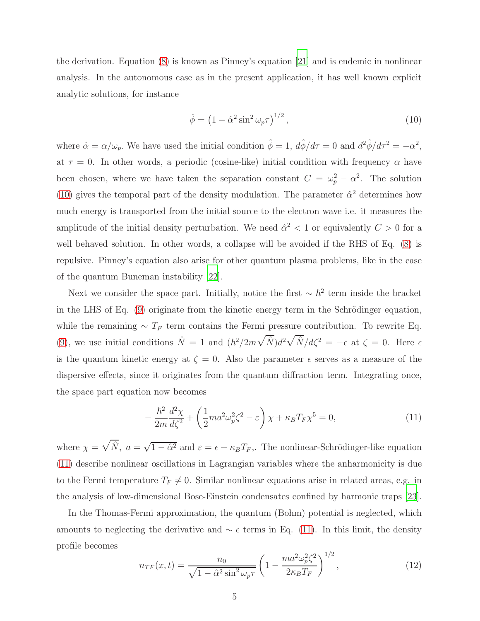the derivation. Equation [\(8\)](#page-3-4) is known as Pinney's equation [\[21\]](#page-10-8) and is endemic in nonlinear analysis. In the autonomous case as in the present application, it has well known explicit analytic solutions, for instance

<span id="page-4-0"></span>
$$
\hat{\phi} = \left(1 - \hat{\alpha}^2 \sin^2 \omega_p \tau\right)^{1/2},\tag{10}
$$

where  $\hat{\alpha} = \alpha/\omega_p$ . We have used the initial condition  $\hat{\phi} = 1$ ,  $d\hat{\phi}/d\tau = 0$  and  $d^2\hat{\phi}/d\tau^2 = -\alpha^2$ , at  $\tau = 0$ . In other words, a periodic (cosine-like) initial condition with frequency  $\alpha$  have been chosen, where we have taken the separation constant  $C = \omega_p^2 - \alpha^2$ . The solution [\(10\)](#page-4-0) gives the temporal part of the density modulation. The parameter  $\hat{\alpha}^2$  determines how much energy is transported from the initial source to the electron wave i.e. it measures the amplitude of the initial density perturbation. We need  $\hat{\alpha}^2 < 1$  or equivalently  $C > 0$  for a well behaved solution. In other words, a collapse will be avoided if the RHS of Eq. [\(8\)](#page-3-4) is repulsive. Pinney's equation also arise for other quantum plasma problems, like in the case of the quantum Buneman instability [\[22\]](#page-10-9).

Next we consider the space part. Initially, notice the first  $\sim \hbar^2$  term inside the bracket in the LHS of Eq. [\(9\)](#page-3-4) originate from the kinetic energy term in the Schrödinger equation, while the remaining  $\sim T_F$  term contains the Fermi pressure contribution. To rewrite Eq. [\(9\)](#page-3-4), we use initial conditions  $\hat{N} = 1$  and  $(\hbar^2/2m\sqrt{\hat{N}})d^2\sqrt{\hat{N}}/d\zeta^2 = -\epsilon$  at  $\zeta = 0$ . Here  $\epsilon$ is the quantum kinetic energy at  $\zeta = 0$ . Also the parameter  $\epsilon$  serves as a measure of the dispersive effects, since it originates from the quantum diffraction term. Integrating once, the space part equation now becomes

<span id="page-4-1"></span>
$$
-\frac{\hbar^2}{2m}\frac{d^2\chi}{d\zeta^2} + \left(\frac{1}{2}ma^2\omega_p^2\zeta^2 - \varepsilon\right)\chi + \kappa_B T_F\chi^5 = 0,\tag{11}
$$

where  $\chi = \sqrt{\hat{N}}$ ,  $a = \sqrt{1 - \hat{\alpha}^2}$  and  $\varepsilon = \epsilon + \kappa_B T_F$ . The nonlinear-Schrödinger-like equation [\(11\)](#page-4-1) describe nonlinear oscillations in Lagrangian variables where the anharmonicity is due to the Fermi temperature  $T_F \neq 0$ . Similar nonlinear equations arise in related areas, e.g. in the analysis of low-dimensional Bose-Einstein condensates confined by harmonic traps [\[23\]](#page-10-10).

In the Thomas-Fermi approximation, the quantum (Bohm) potential is neglected, which amounts to neglecting the derivative and  $\sim \epsilon$  terms in Eq. [\(11\)](#page-4-1). In this limit, the density profile becomes

$$
n_{TF}(x,t) = \frac{n_0}{\sqrt{1 - \hat{\alpha}^2 \sin^2 \omega_p \tau}} \left( 1 - \frac{ma^2 \omega_p^2 \zeta^2}{2\kappa_B T_F} \right)^{1/2},\tag{12}
$$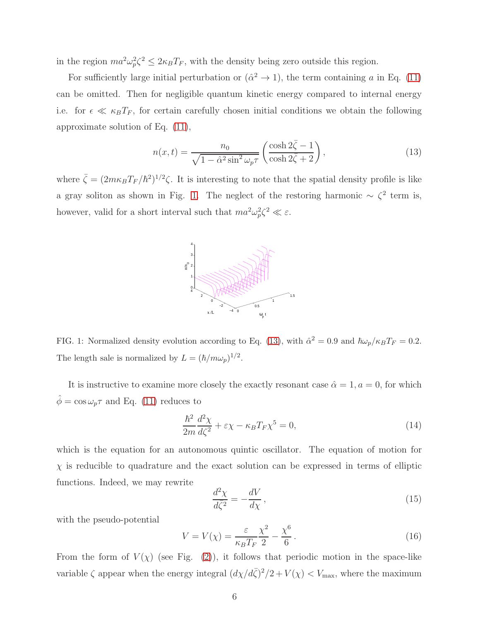in the region  $ma^2\omega_n^2$  $p_p^2 \leq 2\kappa_B T_F$ , with the density being zero outside this region.

For sufficiently large initial perturbation or  $(\hat{\alpha}^2 \to 1)$ , the term containing a in Eq. [\(11\)](#page-4-1) can be omitted. Then for negligible quantum kinetic energy compared to internal energy i.e. for  $\epsilon \ll \kappa_B T_F$ , for certain carefully chosen initial conditions we obtain the following approximate solution of Eq. [\(11\)](#page-4-1),

<span id="page-5-1"></span>
$$
n(x,t) = \frac{n_0}{\sqrt{1 - \hat{\alpha}^2 \sin^2 \omega_p \tau}} \left(\frac{\cosh 2\bar{\zeta} - 1}{\cosh 2\bar{\zeta} + 2}\right),\tag{13}
$$

where  $\bar{\zeta} = (2m\kappa_B T_F/\hbar^2)^{1/2}\zeta$ . It is interesting to note that the spatial density profile is like a gray soliton as shown in Fig. [1.](#page-5-0) The neglect of the restoring harmonic  $\sim \zeta^2$  term is, however, valid for a short interval such that  $ma^2\omega_p^2$  $_p^2 \zeta^2 \ll \varepsilon$ .



<span id="page-5-0"></span>FIG. 1: Normalized density evolution according to Eq. [\(13\)](#page-5-1), with  $\hat{\alpha}^2 = 0.9$  and  $\hbar \omega_p / \kappa_B T_F = 0.2$ . The length sale is normalized by  $L = (\hbar/m\omega_p)^{1/2}$ .

It is instructive to examine more closely the exactly resonant case  $\hat{\alpha} = 1, a = 0$ , for which  $\hat{\phi} = \cos \omega_p \tau$  and Eq. [\(11\)](#page-4-1) reduces to

$$
\frac{\hbar^2}{2m}\frac{d^2\chi}{d\zeta^2} + \varepsilon\chi - \kappa_B T_F \chi^5 = 0,
$$
\n(14)

which is the equation for an autonomous quintic oscillator. The equation of motion for  $\chi$  is reducible to quadrature and the exact solution can be expressed in terms of elliptic functions. Indeed, we may rewrite

<span id="page-5-2"></span>
$$
\frac{d^2\chi}{d\bar{\zeta}^2} = -\frac{dV}{d\chi},\qquad(15)
$$

with the pseudo-potential

<span id="page-5-3"></span>
$$
V = V(\chi) = \frac{\varepsilon}{\kappa_B T_F} \frac{\chi^2}{2} - \frac{\chi^6}{6} \,. \tag{16}
$$

From the form of  $V(\chi)$  (see Fig. [\(2\)](#page-6-0)), it follows that periodic motion in the space-like variable  $\zeta$  appear when the energy integral  $\left(\frac{d\chi}{d\bar{\zeta}}\right)^2/2 + V(\chi) < V_{\text{max}}$ , where the maximum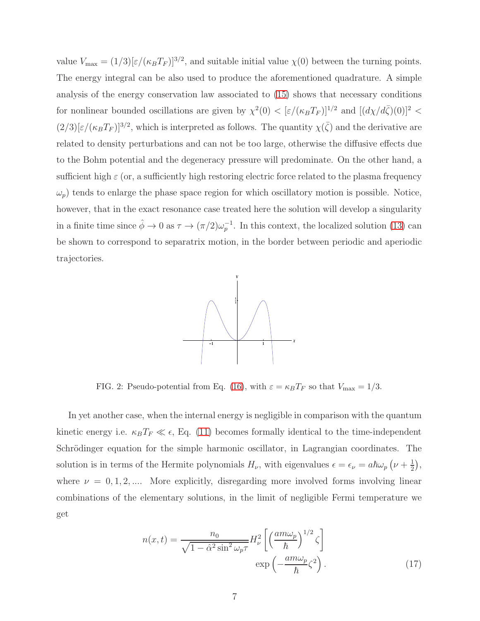value  $V_{\text{max}} = (1/3)[\epsilon/(\kappa_B T_F)]^{3/2}$ , and suitable initial value  $\chi(0)$  between the turning points. The energy integral can be also used to produce the aforementioned quadrature. A simple analysis of the energy conservation law associated to [\(15\)](#page-5-2) shows that necessary conditions for nonlinear bounded oscillations are given by  $\chi^2(0) < [\varepsilon/(\kappa_B T_F)]^{1/2}$  and  $[(d\chi/d\bar{\zeta})(0)]^2 <$  $(2/3)[\epsilon/(\kappa_B T_F)]^{3/2}$ , which is interpreted as follows. The quantity  $\chi(\bar{\zeta})$  and the derivative are related to density perturbations and can not be too large, otherwise the diffusive effects due to the Bohm potential and the degeneracy pressure will predominate. On the other hand, a sufficient high  $\varepsilon$  (or, a sufficiently high restoring electric force related to the plasma frequency  $\omega_p$ ) tends to enlarge the phase space region for which oscillatory motion is possible. Notice, however, that in the exact resonance case treated here the solution will develop a singularity in a finite time since  $\hat{\phi} \to 0$  as  $\tau \to (\pi/2)\omega_p^{-1}$  $_p^{-1}$ . In this context, the localized solution [\(13\)](#page-5-1) can be shown to correspond to separatrix motion, in the border between periodic and aperiodic trajectories.



<span id="page-6-0"></span>FIG. 2: Pseudo-potential from Eq. [\(16\)](#page-5-3), with  $\varepsilon = \kappa_B T_F$  so that  $V_{\text{max}} = 1/3$ .

In yet another case, when the internal energy is negligible in comparison with the quantum kinetic energy i.e.  $\kappa_B T_F \ll \epsilon$ , Eq. [\(11\)](#page-4-1) becomes formally identical to the time-independent Schrödinger equation for the simple harmonic oscillator, in Lagrangian coordinates. The solution is in terms of the Hermite polynomials  $H_{\nu}$ , with eigenvalues  $\epsilon = \epsilon_{\nu} = a\hbar\omega_{p}(\nu + \frac{1}{2})$  $\frac{1}{2}$ , where  $\nu = 0, 1, 2, \dots$ . More explicitly, disregarding more involved forms involving linear combinations of the elementary solutions, in the limit of negligible Fermi temperature we get

<span id="page-6-1"></span>
$$
n(x,t) = \frac{n_0}{\sqrt{1 - \hat{\alpha}^2 \sin^2 \omega_p \tau}} H_\nu^2 \left[ \left( \frac{am\omega_p}{\hbar} \right)^{1/2} \zeta \right]
$$

$$
\exp\left( -\frac{am\omega_p}{\hbar} \zeta^2 \right). \tag{17}
$$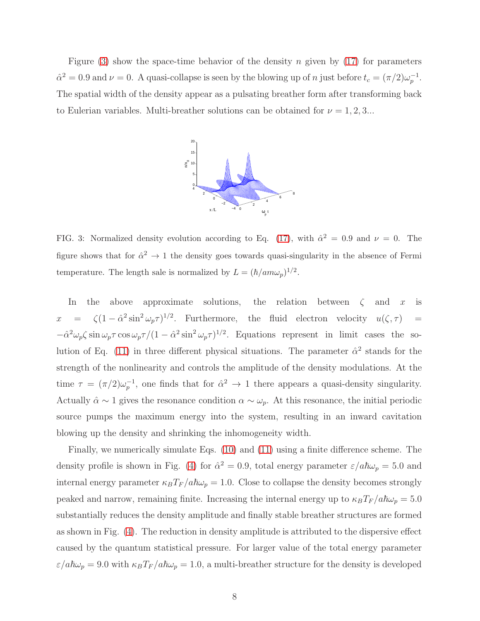Figure  $(3)$  show the space-time behavior of the density n given by  $(17)$  for parameters  $\hat{\alpha}^2 = 0.9$  and  $\nu = 0$ . A quasi-collapse is seen by the blowing up of *n* just before  $t_c = (\pi/2)\omega_p^{-1}$  $_{p}^{-1}.$ The spatial width of the density appear as a pulsating breather form after transforming back to Eulerian variables. Multi-breather solutions can be obtained for  $\nu = 1, 2, 3...$ 



<span id="page-7-0"></span>FIG. 3: Normalized density evolution according to Eq. [\(17\)](#page-6-1), with  $\hat{\alpha}^2 = 0.9$  and  $\nu = 0$ . The figure shows that for  $\hat{\alpha}^2 \to 1$  the density goes towards quasi-singularity in the absence of Fermi temperature. The length sale is normalized by  $L = (\hbar / am\omega_p)^{1/2}$ .

In the above approximate solutions, the relation between  $\zeta$  and x is  $x = \zeta (1 - \hat{\alpha}^2 \sin^2 \omega_p \tau)^{1/2}$ . Furthermore, the fluid electron velocity  $u(\zeta, \tau) =$  $-\hat{\alpha}^2\omega_p\zeta\sin\omega_p\tau\cos\omega_p\tau/(1-\hat{\alpha}^2\sin^2\omega_p\tau)^{1/2}$ . Equations represent in limit cases the so-lution of Eq. [\(11\)](#page-4-1) in three different physical situations. The parameter  $\hat{\alpha}^2$  stands for the strength of the nonlinearity and controls the amplitude of the density modulations. At the time  $\tau = (\pi/2)\omega_n^{-1}$  $_p^{-1}$ , one finds that for  $\hat{\alpha}^2 \rightarrow 1$  there appears a quasi-density singularity. Actually  $\hat{\alpha} \sim 1$  gives the resonance condition  $\alpha \sim \omega_p$ . At this resonance, the initial periodic source pumps the maximum energy into the system, resulting in an inward cavitation blowing up the density and shrinking the inhomogeneity width.

Finally, we numerically simulate Eqs. [\(10\)](#page-4-0) and [\(11\)](#page-4-1) using a finite difference scheme. The density profile is shown in Fig. [\(4\)](#page-8-0) for  $\hat{\alpha}^2 = 0.9$ , total energy parameter  $\varepsilon/a\hbar\omega_p = 5.0$  and internal energy parameter  $\kappa_B T_F / a \hbar \omega_p = 1.0$ . Close to collapse the density becomes strongly peaked and narrow, remaining finite. Increasing the internal energy up to  $\kappa_B T_F / a \hbar \omega_p = 5.0$ substantially reduces the density amplitude and finally stable breather structures are formed as shown in Fig. [\(4\)](#page-8-0). The reduction in density amplitude is attributed to the dispersive effect caused by the quantum statistical pressure. For larger value of the total energy parameter  $\varepsilon/a\hbar\omega_p = 9.0$  with  $\kappa_B T_F / a\hbar\omega_p = 1.0$ , a multi-breather structure for the density is developed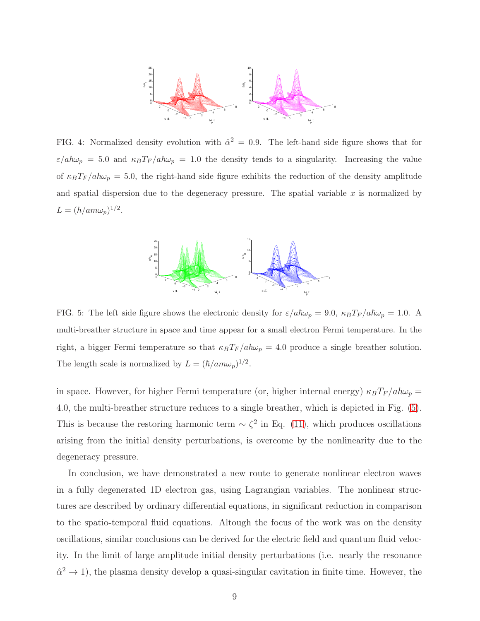

<span id="page-8-0"></span>FIG. 4: Normalized density evolution with  $\hat{\alpha}^2 = 0.9$ . The left-hand side figure shows that for  $\varepsilon/a\hbar\omega_p = 5.0$  and  $\kappa_B T_F/a\hbar\omega_p = 1.0$  the density tends to a singularity. Increasing the value of  $\kappa_B T_F / a \hbar \omega_p = 5.0$ , the right-hand side figure exhibits the reduction of the density amplitude and spatial dispersion due to the degeneracy pressure. The spatial variable  $x$  is normalized by  $L = (\hbar / am\omega_p)^{1/2}.$ 



<span id="page-8-1"></span>FIG. 5: The left side figure shows the electronic density for  $\varepsilon/a\hbar\omega_p = 9.0$ ,  $\kappa_B T_F/a\hbar\omega_p = 1.0$ . A multi-breather structure in space and time appear for a small electron Fermi temperature. In the right, a bigger Fermi temperature so that  $\kappa_B T_F / a \hbar \omega_p = 4.0$  produce a single breather solution. The length scale is normalized by  $L = (\hbar / am\omega_p)^{1/2}$ .

in space. However, for higher Fermi temperature (or, higher internal energy)  $\kappa_B T_F / a \hbar \omega_p =$ 4.0, the multi-breather structure reduces to a single breather, which is depicted in Fig. [\(5\)](#page-8-1). This is because the restoring harmonic term  $\sim \zeta^2$  in Eq. [\(11\)](#page-4-1), which produces oscillations arising from the initial density perturbations, is overcome by the nonlinearity due to the degeneracy pressure.

In conclusion, we have demonstrated a new route to generate nonlinear electron waves in a fully degenerated 1D electron gas, using Lagrangian variables. The nonlinear structures are described by ordinary differential equations, in significant reduction in comparison to the spatio-temporal fluid equations. Altough the focus of the work was on the density oscillations, similar conclusions can be derived for the electric field and quantum fluid velocity. In the limit of large amplitude initial density perturbations (i.e. nearly the resonance  $\hat{\alpha}^2 \to 1$ ), the plasma density develop a quasi-singular cavitation in finite time. However, the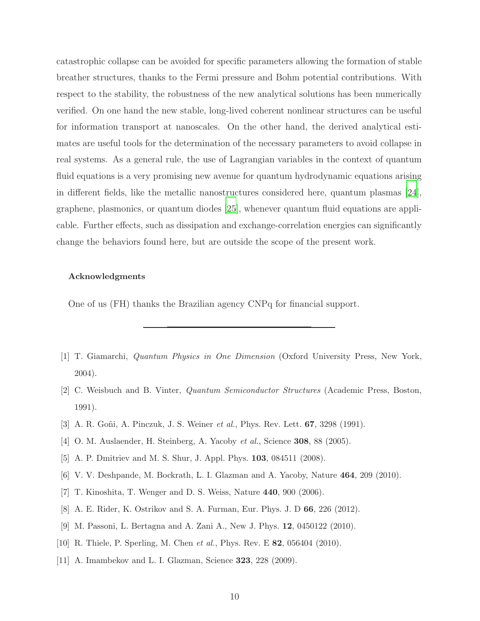catastrophic collapse can be avoided for specific parameters allowing the formation of stable breather structures, thanks to the Fermi pressure and Bohm potential contributions. With respect to the stability, the robustness of the new analytical solutions has been numerically verified. On one hand the new stable, long-lived coherent nonlinear structures can be useful for information transport at nanoscales. On the other hand, the derived analytical estimates are useful tools for the determination of the necessary parameters to avoid collapse in real systems. As a general rule, the use of Lagrangian variables in the context of quantum fluid equations is a very promising new avenue for quantum hydrodynamic equations arising in different fields, like the metallic nanostructures considered here, quantum plasmas [\[24\]](#page-10-11), graphene, plasmonics, or quantum diodes [\[25](#page-10-12)], whenever quantum fluid equations are applicable. Further effects, such as dissipation and exchange-correlation energies can significantly change the behaviors found here, but are outside the scope of the present work.

## Acknowledgments

One of us (FH) thanks the Brazilian agency CNPq for financial support.

- <span id="page-9-0"></span>[1] T. Giamarchi, Quantum Physics in One Dimension (Oxford University Press, New York, 2004).
- <span id="page-9-1"></span>[2] C. Weisbuch and B. Vinter, Quantum Semiconductor Structures (Academic Press, Boston, 1991).
- <span id="page-9-2"></span>[3] A. R. Goñi, A. Pinczuk, J. S. Weiner *et al.*, Phys. Rev. Lett. **67**, 3298 (1991).
- <span id="page-9-3"></span>[4] O. M. Auslaender, H. Steinberg, A. Yacoby et al., Science **308**, 88 (2005).
- <span id="page-9-4"></span>[5] A. P. Dmitriev and M. S. Shur, J. Appl. Phys. 103, 084511 (2008).
- <span id="page-9-5"></span>[6] V. V. Deshpande, M. Bockrath, L. I. Glazman and A. Yacoby, Nature 464, 209 (2010).
- <span id="page-9-6"></span>[7] T. Kinoshita, T. Wenger and D. S. Weiss, Nature 440, 900 (2006).
- <span id="page-9-7"></span>[8] A. E. Rider, K. Ostrikov and S. A. Furman, Eur. Phys. J. D 66, 226 (2012).
- <span id="page-9-8"></span>[9] M. Passoni, L. Bertagna and A. Zani A., New J. Phys. 12, 0450122 (2010).
- <span id="page-9-9"></span>[10] R. Thiele, P. Sperling, M. Chen et al., Phys. Rev. E **82**, 056404 (2010).
- <span id="page-9-10"></span>[11] A. Imambekov and L. I. Glazman, Science **323**, 228 (2009).